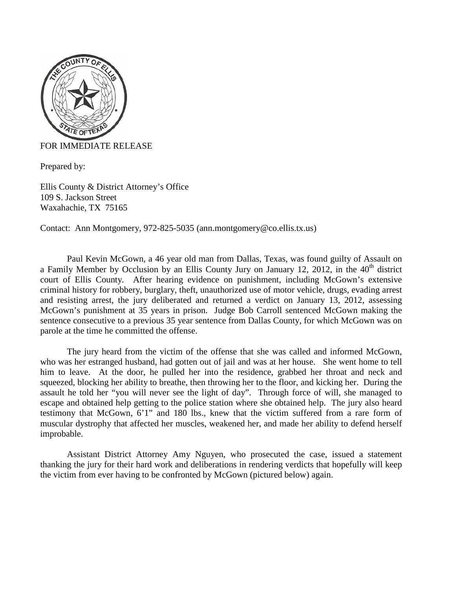

## FOR IMMEDIATE RELEASE

Prepared by:

Ellis County & District Attorney's Office 109 S. Jackson Street Waxahachie, TX 75165

Contact: Ann Montgomery, 972-825-5035 (ann.montgomery@co.ellis.tx.us)

Paul Kevin McGown, a 46 year old man from Dallas, Texas, was found guilty of Assault on a Family Member by Occlusion by an Ellis County Jury on January 12, 2012, in the  $40<sup>th</sup>$  district court of Ellis County. After hearing evidence on punishment, including McGown's extensive criminal history for robbery, burglary, theft, unauthorized use of motor vehicle, drugs, evading arrest and resisting arrest, the jury deliberated and returned a verdict on January 13, 2012, assessing McGown's punishment at 35 years in prison. Judge Bob Carroll sentenced McGown making the sentence consecutive to a previous 35 year sentence from Dallas County, for which McGown was on parole at the time he committed the offense.

The jury heard from the victim of the offense that she was called and informed McGown, who was her estranged husband, had gotten out of jail and was at her house. She went home to tell him to leave. At the door, he pulled her into the residence, grabbed her throat and neck and squeezed, blocking her ability to breathe, then throwing her to the floor, and kicking her. During the assault he told her "you will never see the light of day". Through force of will, she managed to escape and obtained help getting to the police station where she obtained help. The jury also heard testimony that McGown, 6'1" and 180 lbs., knew that the victim suffered from a rare form of muscular dystrophy that affected her muscles, weakened her, and made her ability to defend herself improbable.

Assistant District Attorney Amy Nguyen, who prosecuted the case, issued a statement thanking the jury for their hard work and deliberations in rendering verdicts that hopefully will keep the victim from ever having to be confronted by McGown (pictured below) again.